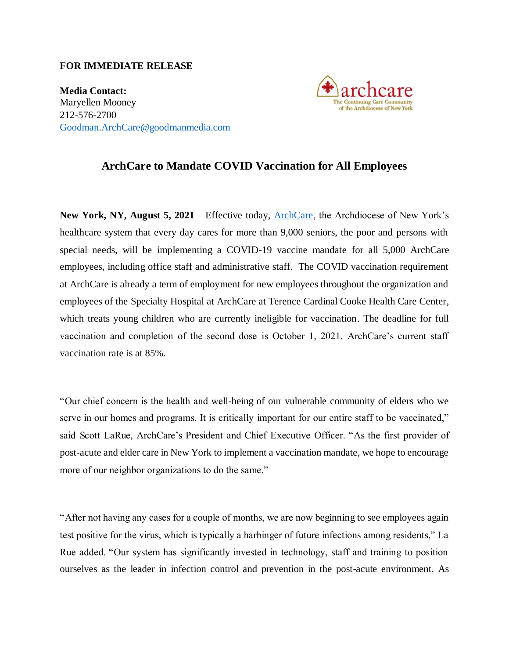## **FOR IMMEDIATE RELEASE**

**Media Contact:** Maryellen Mooney 212-576-2700 [Goodman.ArchCare@goodmanmedia.com](mailto:Goodman.ArchCare@goodmanmedia.com)



## **ArchCare to Mandate COVID Vaccination for All Employees**

**New York, NY, August 5, 2021** – Effective today, [ArchCare,](https://www.archcare.org/) the Archdiocese of New York's healthcare system that every day cares for more than 9,000 seniors, the poor and persons with special needs, will be implementing a COVID-19 vaccine mandate for all 5,000 ArchCare employees, including office staff and administrative staff. The COVID vaccination requirement at ArchCare is already a term of employment for new employees throughout the organization and employees of the Specialty Hospital at ArchCare at Terence Cardinal Cooke Health Care Center, which treats young children who are currently ineligible for vaccination. The deadline for full vaccination and completion of the second dose is October 1, 2021. ArchCare's current staff vaccination rate is at 85%.

"Our chief concern is the health and well-being of our vulnerable community of elders who we serve in our homes and programs. It is critically important for our entire staff to be vaccinated," said Scott LaRue, ArchCare's President and Chief Executive Officer. "As the first provider of post-acute and elder care in New York to implement a vaccination mandate, we hope to encourage more of our neighbor organizations to do the same."

"After not having any cases for a couple of months, we are now beginning to see employees again test positive for the virus, which is typically a harbinger of future infections among residents," La Rue added. "Our system has significantly invested in technology, staff and training to position ourselves as the leader in infection control and prevention in the post-acute environment. As